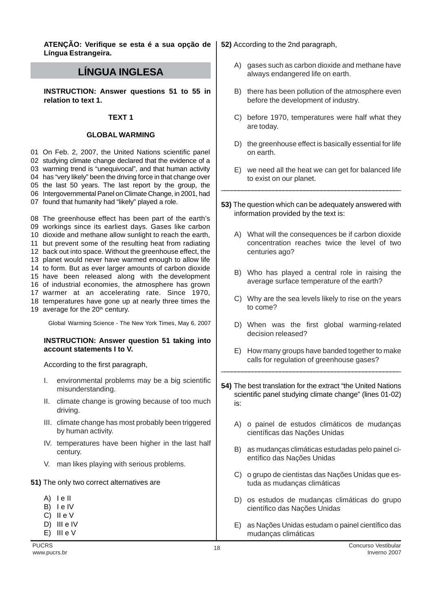**ATENÇÃO: Verifique se esta é a sua opção de Língua Estrangeira.**

# **LÍNGUA INGLESA**

**INSTRUCTION: Answer questions 51 to 55 in relation to text 1.**

#### **TEXT 1**

#### **GLOBAL WARMING**

 On Feb. 2, 2007, the United Nations scientific panel studying climate change declared that the evidence of a warming trend is "unequivocal", and that human activity has "very likely" been the driving force in that change over the last 50 years. The last report by the group, the Intergovernmental Panel on Climate Change, in 2001, had found that humanity had "likely" played a role.

 The greenhouse effect has been part of the earth's workings since its earliest days. Gases like carbon dioxide and methane allow sunlight to reach the earth, but prevent some of the resulting heat from radiating back out into space. Without the greenhouse effect, the planet would never have warmed enough to allow life to form. But as ever larger amounts of carbon dioxide have been released along with the development of industrial economies, the atmosphere has grown warmer at an accelerating rate. Since 1970, temperatures have gone up at nearly three times the 19 average for the 20<sup>th</sup> century.

Global Warming Science - The New York Times, May 6, 2007

## **INSTRUCTION: Answer question 51 taking into account statements I to V.**

According to the first paragraph,

- I. environmental problems may be a big scientific misunderstanding.
- II. climate change is growing because of too much driving.
- III. climate change has most probably been triggered by human activity.
- IV. temperatures have been higher in the last half century.
- V. man likes playing with serious problems.

#### **51)** The only two correct alternatives are

| A) | e II |
|----|------|
|    |      |

- B) lelV
- C) II e V
- D) III e IV
- $E)$  III e V

#### **52)** According to the 2nd paragraph,

- A) gases such as carbon dioxide and methane have always endangered life on earth.
- B) there has been pollution of the atmosphere even before the development of industry.
- C) before 1970, temperatures were half what they are today.
- D) the greenhouse effect is basically essential for life on earth.
- E) we need all the heat we can get for balanced life to exist on our planet.
- **53)** The question which can be adequately answered with information provided by the text is:

\_\_\_\_\_\_\_\_\_\_\_\_\_\_\_\_\_\_\_\_\_\_\_\_\_\_\_\_\_\_\_\_\_\_\_\_\_\_\_\_\_\_\_\_\_\_\_\_\_\_\_\_

- A) What will the consequences be if carbon dioxide concentration reaches twice the level of two centuries ago?
- B) Who has played a central role in raising the average surface temperature of the earth?
- C) Why are the sea levels likely to rise on the years to come?
- D) When was the first global warming-related decision released?
- E) How many groups have banded together to make calls for regulation of greenhouse gases?
- **54)** The best translation for the extract "the United Nations scientific panel studying climate change" (lines 01-02) is:

\_\_\_\_\_\_\_\_\_\_\_\_\_\_\_\_\_\_\_\_\_\_\_\_\_\_\_\_\_\_\_\_\_\_\_\_\_\_\_\_\_\_\_\_\_\_\_\_\_\_\_\_

- A) o painel de estudos climáticos de mudanças científicas das Nações Unidas
- B) as mudanças climáticas estudadas pelo painel científico das Nações Unidas
- C) o grupo de cientistas das Nações Unidas que estuda as mudanças climáticas
- D) os estudos de mudanças climáticas do grupo científico das Nações Unidas
- E) as Nações Unidas estudam o painel científico das mudanças climáticas